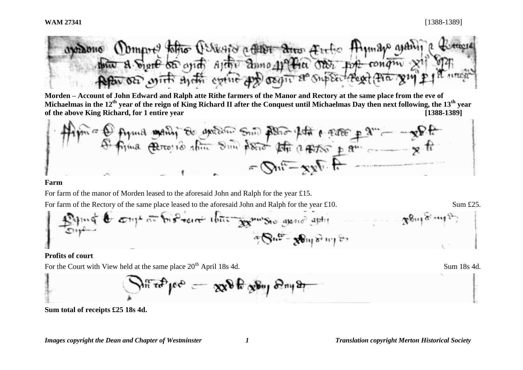

**Morden – Account of John Edward and Ralph atte Rithe farmers of the Manor and Rectory at the same place from the eve of Michaelmas in the 12th year of the reign of King Richard II after the Conquest until Michaelmas Day then next following, the 13th year of the above King Richard, for 1 entire year [1388-1389]**

#### **Farm**

For farm of the manor of Morden leased to the aforesaid John and Ralph for the year £15.

For farm of the Rectory of the same place leased to the aforesaid John and Ralph for the year £10. Sum £25.

$$
\frac{100}{20}
$$

### **Profits of court**

For the Court with View held at the same place  $20^{th}$  April 18s 4d. Sum 18s 4d.

$$
\sum_{n} \pi^2 \tau_n^2 \rho_1 e^{i\phi} = -\exp \theta \tau_2 \psi_1 \sin \theta \eta_1 e^{i\phi}
$$

**Sum total of receipts £25 18s 4d.**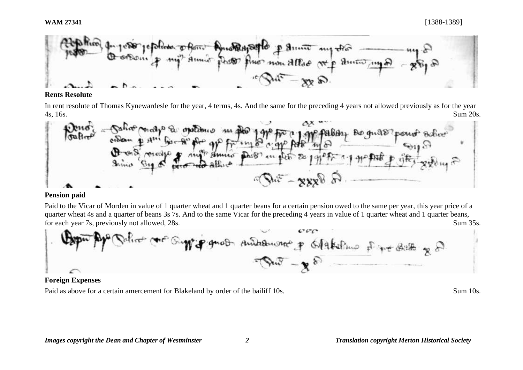

## **Rents Resolute**

In rent resolute of Thomas Kynewardesle for the year, 4 terms, 4s. And the same for the preceding 4 years not allowed previously as for the year 4s, 16s. Sum 20s.



## **Pension paid**

Paid to the Vicar of Morden in value of 1 quarter wheat and 1 quarter beans for a certain pension owed to the same per year, this year price of a quarter wheat 4s and a quarter of beans 3s 7s. And to the same Vicar for the preceding 4 years in value of 1 quarter wheat and 1 quarter beans, for each year 7s, previously not allowed, 28s. Sum 35s.



## **Foreign Expenses**

Paid as above for a certain amercement for Blakeland by order of the bailiff 10s. Sum 10s.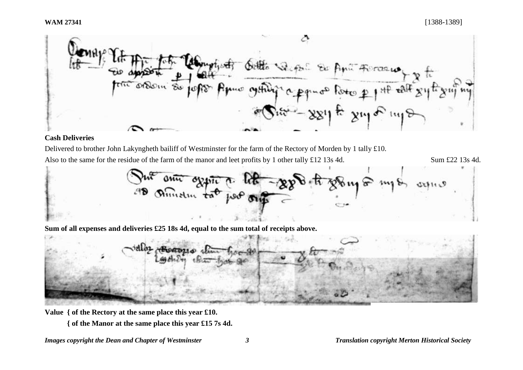

# **Cash Deliveries**

Delivered to brother John Lakyngheth bailiff of Westminster for the farm of the Rectory of Morden by 1 tally £10.

Also to the same for the residue of the farm of the manor and leet profits by 1 other tally £12 13s 4d. Sum £22 13s 4d.



**Sum of all expenses and deliveries £25 18s 4d, equal to the sum total of receipts above.**

**Value { of the Rectory at the same place this year £10.**

**{ of the Manor at the same place this year £15 7s 4d.**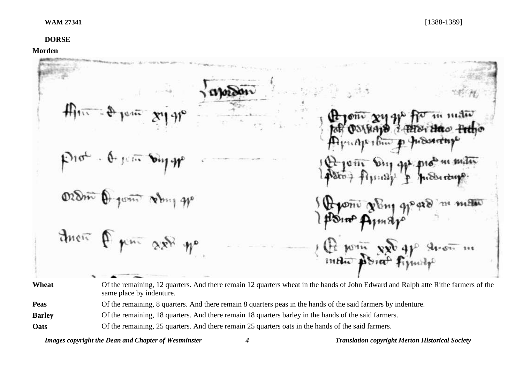# **DORSE**

**Morden**

|                              | #<br>Hono xy que for in main<br>Prot . Or perty Day to<br>Prom Dry get problem motor                                                                                                                                  |
|------------------------------|-----------------------------------------------------------------------------------------------------------------------------------------------------------------------------------------------------------------------|
|                              | ordin O joint very gp<br>the point of Engineers                                                                                                                                                                       |
|                              | their figure ask yo<br>Pe point xx ap throw in                                                                                                                                                                        |
| Wheat                        | Of the remaining, 12 quarters. And there remain 12 quarters wheat in the hands of John Edward and Ralph atte Rithe farmers of the<br>same place by indenture.                                                         |
| <b>Peas</b><br><b>Barley</b> | Of the remaining, 8 quarters. And there remain 8 quarters peas in the hands of the said farmers by indenture.<br>Of the remaining, 18 quarters. And there remain 18 quarters barley in the hands of the said farmers. |

**Oats** Of the remaining, 25 quarters. And there remain 25 quarters oats in the hands of the said farmers.

*Images copyright the Dean and Chapter of Westminster 4 Translation copyright Merton Historical Society*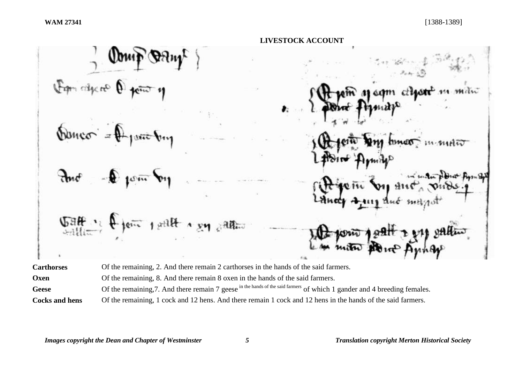**LIVESTOCK ACCOUNT**  $\frac{1}{2}$ lein pollt a ंत्रीमिन्न **Carthorses** Of the remaining, 2. And there remain 2 carthorses in the hands of the said farmers.

| Oxen<br>Of the remaining, 8. And there remain 8 oxen in the hands of the said farmers. |
|----------------------------------------------------------------------------------------|
|----------------------------------------------------------------------------------------|

Geese Of the remaining, 7. And there remain 7 geese in the hands of the said farmers of which 1 gander and 4 breeding females.

**Cocks and hens** Of the remaining, 1 cock and 12 hens. And there remain 1 cock and 12 hens in the hands of the said farmers.